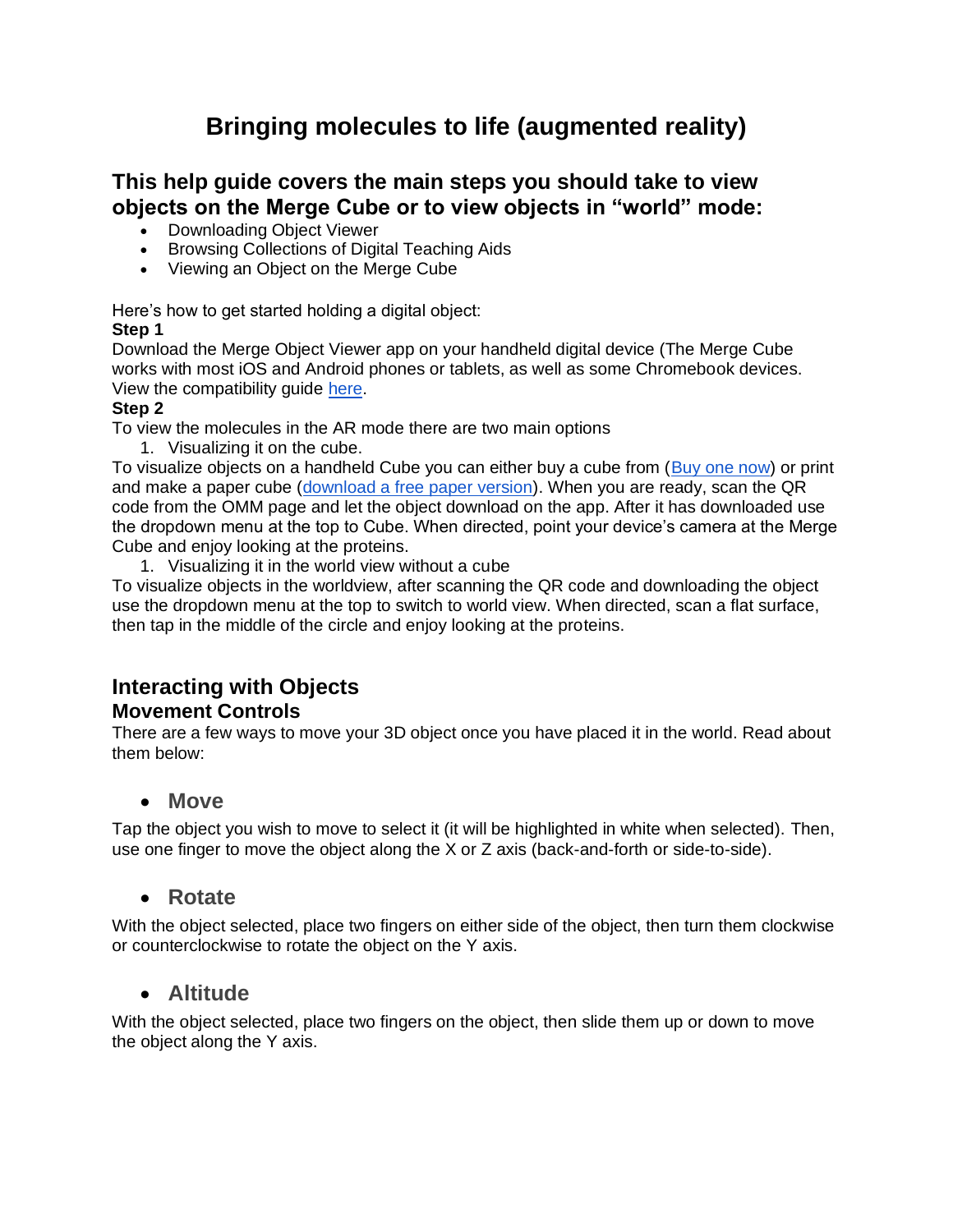# **Bringing molecules to life (augmented reality)**

# **This help guide covers the main steps you should take to view objects on the Merge Cube or to view objects in "world" mode:**

- Downloading Object Viewer
- Browsing Collections of Digital Teaching Aids
- Viewing an Object on the Merge Cube

Here's how to get started holding a digital object:

#### **Step 1**

Download the Merge Object Viewer app on your handheld digital device (The Merge Cube works with most iOS and Android phones or tablets, as well as some Chromebook devices. View the compatibility guide [here.](https://support.mergeedu.com/hc/en-us/articles/115002899692-Is-my-device-compatible-with-the-Merge-Cube-)

#### **Step 2**

To view the molecules in the AR mode there are two main options

1. Visualizing it on the cube.

To visualize objects on a handheld Cube you can either buy a cube from [\(Buy one now\)](https://www.amazon.com/gp/product/B0741FNH18?pf_rd_r=M7PFVGV72JZ6HRJ45KBG&pf_rd_p=9d9090dd-8b99-4ac3-b4a9-90a1db2ef53b&pd_rd_r=cfb23130-5853-47f9-bc6f-a74f10347a4e&pd_rd_w=2iczw&pd_rd_wg=DNiyD&ref_=pd_gw_unk) or print and make a paper cube [\(download a free paper version\)](https://support.mergeedu.com/hc/en-us/articles/360052933552). When you are ready, scan the QR code from the OMM page and let the object download on the app. After it has downloaded use the dropdown menu at the top to Cube. When directed, point your device's camera at the Merge Cube and enjoy looking at the proteins.

1. Visualizing it in the world view without a cube

To visualize objects in the worldview, after scanning the QR code and downloading the object use the dropdown menu at the top to switch to world view. When directed, scan a flat surface, then tap in the middle of the circle and enjoy looking at the proteins.

### **Interacting with Objects Movement Controls**

There are a few ways to move your 3D object once you have placed it in the world. Read about them below:

#### • **Move**

Tap the object you wish to move to select it (it will be highlighted in white when selected). Then, use one finger to move the object along the X or Z axis (back-and-forth or side-to-side).

## • **Rotate**

With the object selected, place two fingers on either side of the object, then turn them clockwise or counterclockwise to rotate the object on the Y axis.

## • **Altitude**

With the object selected, place two fingers on the object, then slide them up or down to move the object along the Y axis.